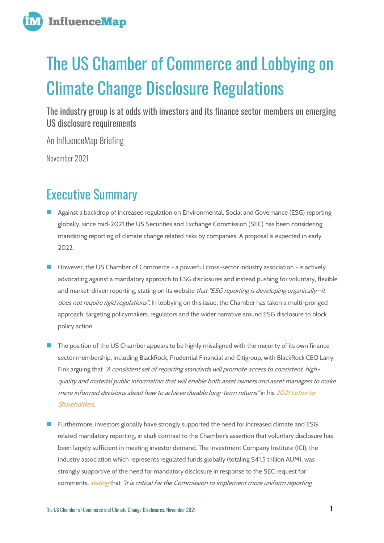

# The US Chamber of Commerce and Lobbying on Climate Change Disclosure Regulations

The industry group is at odds with investors and its finance sector members on emerging US disclosure requirements

An InfluenceMap Briefing

November 2021

## Executive Summary

- Against a backdrop of increased regulation on Environmental, Social and Governance (ESG) reporting globally, since mid-2021 the US Securities and Exchange Commission (SEC) has been considering mandating reporting of climate change related risks by companies. A proposal is expected in early 2022.
- However, the US Chamber of Commerce a powerful cross-sector industry association is actively advocating against a mandatory approach to ESG disclosures and instead pushing for voluntary, flexible and market-driven reporting, stating on its website that "ESG reporting is developing organically-it does not require rigid regulations". In lobbying on this issue, the Chamber has taken a multi-pronged approach, targeting policymakers, regulators and the wider narrative around ESG disclosure to block policy action.
- The position of the US Chamber appears to be highly misaligned with the majority of its own finance sector membership, including BlackRock, Prudential Financial and Citigroup, with BlackRock CEO Larry Fink arguing that "A consistent set of reporting standards will promote access to consistent, highquality and material public information that will enable both asset owners and asset managers to make more informed decisions about how to achieve durable long-term returns" in his [2021 Letter to](https://www.blackrock.com/corporate/investor-relations/larry-fink-chairmans-letter)  [Shareholders](https://www.blackrock.com/corporate/investor-relations/larry-fink-chairmans-letter).
- ◼ Furthermore, investors globally have strongly supported the need for increased climate and ESG related mandatory reporting, in stark contrast to the Chamber's assertion that voluntary disclosure has been largely sufficient in meeting investor demand. The Investment Company Institute (ICI), the industry association which represents regulated funds globally (totaling \$41.5 trillion AUM), was strongly supportive of the need for mandatory disclosure in response to the SEC request for comments, *[stating](http://influencemap.org/evidence/49d37f1fff0d5416ed0992a820d63d3c)* that "it is critical for the Commission to implement more uniform reporting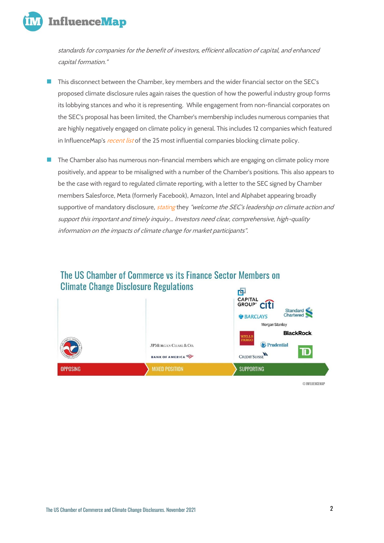

standards for companies for the benefit of investors, efficient allocation of capital, and enhanced capital formation."

- This disconnect between the Chamber, key members and the wider financial sector on the SEC's proposed climate disclosure rules again raises the question of how the powerful industry group forms its lobbying stances and who it is representing. While engagement from non-financial corporates on the SEC's proposal has been limited, the Chamber's membership includes numerous companies that are highly negatively engaged on climate policy in general. This includes 12 companies which featured in InfluenceMap's *[recent list](https://influencemap.org/report/The-Carbon-Policy-Footprint-Report-2021-670f36863e7859e1ad7848ec601dda97)* of the 25 most influential companies blocking climate policy.
- The Chamber also has numerous non-financial members which are engaging on climate policy more positively, and appear to be misaligned with a number of the Chamber's positions. This also appears to be the case with regard to regulated climate reporting, with a letter to the SEC signed by Chamber members Salesforce, Meta (formerly Facebook), Amazon, Intel and Alphabet appearing broadly supportive of mandatory disclosure, *[stating](https://www.sec.gov/comments/climate-disclosure/cll12-8907252-244227.pdf)* they "welcome the SEC's leadership on climate action and support this important and timely inquiry… Investors need clear, comprehensive, high-quality information on the impacts of climate change for market participants".

#### The US Chamber of Commerce vs its Finance Sector Members on **Climate Change Disclosure Regulations** 回



© INFLUENCEMAP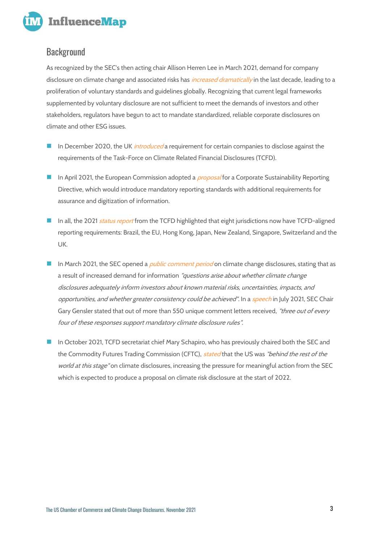

#### Background

As recognized by the SEC's then acting chair Allison Herren Lee in March 2021, demand for company disclosure on climate change and associated risks has *[increased dramatically](https://www.sec.gov/news/public-statement/lee-climate-change-disclosures)* in the last decade, leading to a proliferation of voluntary standards and guidelines globally. Recognizing that current legal frameworks supplemented by voluntary disclosure are not sufficient to meet the demands of investors and other stakeholders, regulators have begun to act to mandate standardized, reliable corporate disclosures on climate and other ESG issues.

- In December 2020, the UK *[introduced](https://www.fca.org.uk/firms/climate-change-sustainable-finance/reporting-requirements)* a requirement for certain companies to disclose against the requirements of the Task-Force on Climate Related Financial Disclosures (TCFD).
- In April 2021, the European Commission adopted a *[proposal](https://ec.europa.eu/info/publications/210421-sustainable-finance-communication_en#csrd)* for a Corporate Sustainability Reporting Directive, which would introduce mandatory reporting standards with additional requirements for assurance and digitization of information.
- In all, the 2021 [status report](https://www.fsb.org/wp-content/uploads/P141021-1.pdf) from the TCFD highlighted that eight jurisdictions now have TCFD-aligned reporting requirements: Brazil, the EU, Hong Kong, Japan, New Zealand, Singapore, Switzerland and the UK.
- In March 2021, the SEC opened a *[public comment period](https://www.sec.gov/comments/climate-disclosure/cll12.htm)* on climate change disclosures, stating that as a result of increased demand for information "questions arise about whether climate change disclosures adequately inform investors about known material risks, uncertainties, impacts, and opportunities, and whether greater consistency could be achieved". In a [speech](https://www.sec.gov/news/speech/gensler-pri-2021-07-28) in July 2021, SEC Chair Gary Gensler stated that out of more than 550 unique comment letters received, "three out of every four of these responses support mandatory climate disclosure rules".
- In October 2021, TCFD secretariat chief Mary Schapiro, who has previously chaired both the SEC and the Commodity Futures Trading Commission (CFTC), [stated](https://www.responsible-investor.com/articles/the-us-is-behind-the-rest-of-the-world-on-climate-reporting-says-tcfd-s-schapiro?page=1) that the US was "behind the rest of the world at this stage" on climate disclosures, increasing the pressure for meaningful action from the SEC which is expected to produce a proposal on climate risk disclosure at the start of 2022.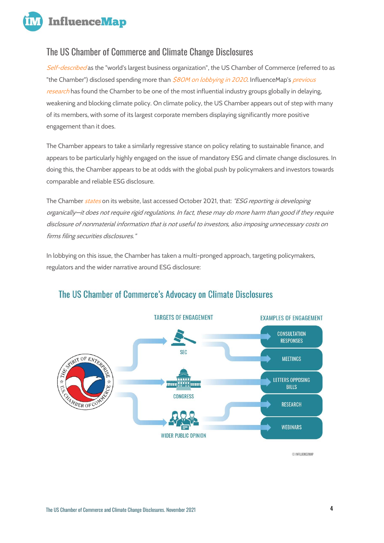**InfluenceMap** 

#### The US Chamber of Commerce and Climate Change Disclosures

[Self-described](https://www.uschamber.com/members/join-chamber) as the "world's largest business organization", the US Chamber of Commerce (referred to as "the Chamber") disclosed spending more than [\\$80M on lobbying in 2020](https://www.opensecrets.org/federal-lobbying/clients/summary?cycle=2021&id=D000019798). InfluenceMap's previous [research](https://influencemap.org/report/Trade-Groups-and-their-Carbon-Footprints-f48157cf8df3526078541070f067f6e6) has found the Chamber to be one of the most influential industry groups globally in delaying, weakening and blocking climate policy. On climate policy, the US Chamber appears out of step with many of its members, with some of its largest corporate members displaying significantly more positive engagement than it does.

The Chamber appears to take a similarly regressive stance on policy relating to sustainable finance, and appears to be particularly highly engaged on the issue of mandatory ESG and climate change disclosures. In doing this, the Chamber appears to be at odds with the global push by policymakers and investors towards comparable and reliable ESG disclosure.

The Chamber [states](http://influencemap.org/evidence/-75ae7b4f97ac35200738b7022d07a64c) on its website, last accessed October 2021, that: "ESG reporting is developing organically—it does not require rigid regulations. In fact, these may do more harm than good if they require disclosure of nonmaterial information that is not useful to investors, also imposing unnecessary costs on firms filing securities disclosures."

In lobbying on this issue, the Chamber has taken a multi-pronged approach, targeting policymakers, regulators and the wider narrative around ESG disclosure:



#### The US Chamber of Commerce's Advocacy on Climate Disclosures

© INFLUENCEMAP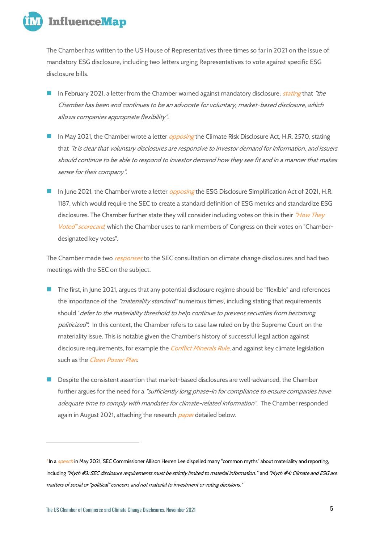

**The Chamber has written to the US House of Representatives three times so far in 2021 on the issue of mandatory ESG disclosure, including two letters urging Representatives to vote against specific ESG disclosure bills.** 

- In February 2021, a letter from the Chamber warned against mandatory disclosure, *[stating](http://influencemap.org/evidence/-8728ebf892a3e7dbb106d5281d646da6)* that "the Chamber has been and continues to be an advocate for voluntary, market-based disclosure, which allows companies appropriate flexibility".
- In May 2021, the Chamber wrote a letter *[opposing](http://influencemap.org/evidence/d553595207a1ddf2d23396eacc3e0f06)* the Climate Risk Disclosure Act, H.R. 2570, stating that "it is clear that voluntary disclosures are responsive to investor demand for information, and issuers should continue to be able to respond to investor demand how they see fit and in a manner that makes sense for their company".
- In June 2021, the Chamber wrote a letter *[opposing](http://influencemap.org/evidence/aae873a9db11924d9402dbaa8fe3865c)* the ESG Disclosure Simplification Act of 2021, H.R. 1187, which would require the SEC to create a standard definition of ESG metrics and standardize ESG disclosures. The Chamber further state they will consider including votes on this in their "How They [Voted" scorecard](https://www.uschamber.com/report/how-they-voted), which the Chamber uses to rank members of Congress on their votes on "Chamberdesignated key votes".

**The Chamber made two [responses](http://influencemap.org/evidence/f7ad75d81fc4fe9c6aac2f54cae70a9e) to the SEC consultation on climate change disclosures and had two meetings with the SEC on the subject.**

- The first, in June 2021, argues that any potential disclosure regime should be "flexible" and references the importance of the *"materiality standard"* numerous times', including stating that requirements should "defer to the materiality threshold to help continue to prevent securities from becoming politicized". In this context, the Chamber refers to case law ruled on by the Supreme Court on the materiality issue. This is notable given the Chamber's history of successful legal action against disclosure requirements, for example the *[Conflict Minerals Rule](https://www.reuters.com/article/us-usa-sec-conflictminerals-idUSKBN1792WX)*, and against key climate legislation such as the *[Clean Power Plan](http://influencemap.org/evidence/Opposing-GHG-emissions-standards-2168a7fd203c24448ca9c2bddff803c5).*
- ◼ Despite the consistent assertion that market-based disclosures are well-advanced, the Chamber further argues for the need for a "sufficiently long phase-in for compliance to ensure companies have adequate time to comply with mandates for climate-related information". The Chamber responded again in August 2021, attaching the research *[paper](https://www.centerforcapitalmarkets.com/wp-content/uploads/2021/08/CCMC_ESG_Report_v4.pdf)* detailed below.

<sup>&</sup>lt;sup>7</sup> In a *[speech](https://www.sec.gov/news/speech/lee-living-material-world-052421)* in May 2021, SEC Commissioner Allison Herren Lee dispelled many "common myths" about materiality and reporting, including "Myth #3: SEC disclosure requirements must be strictly limited to material information." and "Myth #4: Climate and ESG are matters of social or "political" concern, and not material to investment or voting decisions."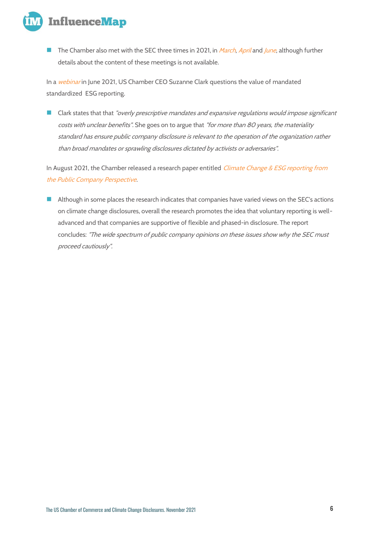

The Chamber also met with the SEC three times in 2021, in *[March](https://influencemap.org/evidence/6b8308c3243837acb2bab24955369c58), [April](https://www.sec.gov/comments/climate-disclosure/cll12-8695298-236184.pdf)* and *[June](https://www.sec.gov/comments/climate-disclosure/cll12-8855724-238504.pdf)*, although further details about the content of these meetings is not available.

**In a [webinar](http://influencemap.org/evidence/771c8884b4227a738a621f344106cd54) in June 2021, US Chamber CEO Suzanne Clark questions the value of mandated standardized ESG reporting.**

■ Clark states that that "overly prescriptive mandates and expansive regulations would impose significant costs with unclear benefits". She goes on to argue that "for more than 80 years, the materiality standard has ensure public company disclosure is relevant to the operation of the organization rather than broad mandates or sprawling disclosures dictated by activists or adversaries".

**In August 2021, the Chamber released a research paper entitled [Climate Change & ESG](https://www.centerforcapitalmarkets.com/wp-content/uploads/2021/08/CCMC_ESG_Report_v4.pdf) reporting from [the Public Company Perspective](https://www.centerforcapitalmarkets.com/wp-content/uploads/2021/08/CCMC_ESG_Report_v4.pdf).** 

■ Although in some places the research indicates that companies have varied views on the SEC's actions on climate change disclosures, overall the research promotes the idea that voluntary reporting is welladvanced and that companies are supportive of flexible and phased-in disclosure. The report concludes: "The wide spectrum of public company opinions on these issues show why the SEC must proceed cautiously".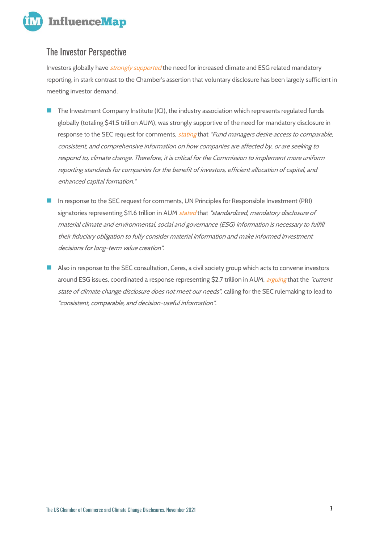

#### The Investor Perspective

Investors globally have *[strongly supported](https://influencemap.org/report/Sustainable-Finance-Policy-Engagement-ae2640f0ab05a86c3a53359b0c5a3057)* the need for increased climate and ESG related mandatory reporting, in stark contrast to the Chamber's assertion that voluntary disclosure has been largely sufficient in meeting investor demand.

- The Investment Company Institute (ICI), the industry association which represents regulated funds globally (totaling \$41.5 trillion AUM), was strongly supportive of the need for mandatory disclosure in response to the SEC request for comments, *[stating](http://influencemap.org/evidence/49d37f1fff0d5416ed0992a820d63d3c)* that "Fund managers desire access to comparable, consistent, and comprehensive information on how companies are affected by, or are seeking to respond to, climate change. Therefore, it is critical for the Commission to implement more uniform reporting standards for companies for the benefit of investors, efficient allocation of capital, and enhanced capital formation."
- In response to the SEC request for comments, UN Principles for Responsible Investment (PRI) signatories representing \$11.6 trillion in AUM *[stated](https://www.sec.gov/comments/climate-disclosure/cll12-8906882-244194.pdf)* that "standardized, mandatory disclosure of material climate and environmental, social and governance (ESG) information is necessary to fulfill their fiduciary obligation to fully consider material information and make informed investment decisions for long-term value creation".
- Also in response to the SEC consultation, Ceres, a civil society group which acts to convene investors around ESG issues, coordinated a response representing \$2.7 trillion in AUM, *[arguing](https://www.sec.gov/comments/climate-disclosure/cll12-8911752-244393.pdf)* that the "current state of climate change disclosure does not meet our needs", calling for the SEC rulemaking to lead to "consistent, comparable, and decision-useful information".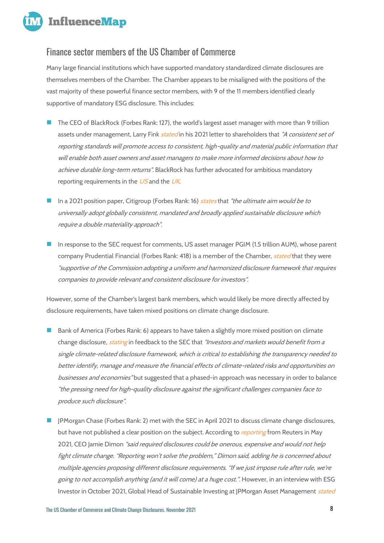

#### Finance sector members of the US Chamber of Commerce

Many large financial institutions which have supported mandatory standardized climate disclosures are themselves members of the Chamber. The Chamber appears to be misaligned with the positions of the vast majority of these powerful finance sector members, with 9 of the 11 members identified clearly supportive of mandatory ESG disclosure. This includes:

- The CEO of BlackRock (Forbes Rank: 127), the world's largest asset manager with more than 9 trillion assets under management, Larry Fink *[stated](http://influencemap.org/evidence/173d58fdcc114940f33f10283eb94944)* in his 2021 letter to shareholders that "A consistent set of reporting standards will promote access to consistent, high-quality and material public information that will enable both asset owners and asset managers to make more informed decisions about how to achieve durable long-term returns". BlackRock has further advocated for ambitious mandatory reporting requirements in the  $US$  and the  $UK$ .
- ◼ In a 2021 position paper, **Citigroup** (Forbes Rank: 16) [states](http://influencemap.org/evidence/1c0784222ac118c463182531ac08c208) that "the ultimate aim would be to universally adopt globally consistent, mandated and broadly applied sustainable disclosure which require a double materiality approach".
- In response to the SEC request for comments, US asset manager PGIM (1.5 trillion AUM), whose parent company Prudential Financial (Forbes Rank: 418) is a member of the Chamber, *[stated](http://influencemap.org/evidence/79c68ab96860fa3a386637af5c3f3ea4)* that they were "supportive of the Commission adopting a uniform and harmonized disclosure framework that requires companies to provide relevant and consistent disclosure for investors".

However, some of the Chamber's largest bank members, which would likely be more directly affected by disclosure requirements, have taken mixed positions on climate change disclosure.

- Bank of America (Forbes Rank: 6) appears to have taken a slightly more mixed position on climate change disclosure, *[stating](http://influencemap.org/evidence/ef85dca3b26a318346d50a92430d6408)* in feedback to the SEC that "Investors and markets would benefit from a single climate-related disclosure framework, which is critical to establishing the transparency needed to better identify, manage and measure the financial effects of climate-related risks and opportunities on businesses and economies" but suggested that a phased-in approach was necessary in order to balance "the pressing need for high-quality disclosure against the significant challenges companies face to produce such disclosure".
- ◼ **JPMorgan Chase** (Forbes Rank: 2) met with the SEC in April 2021 to discuss climate change disclosures, but have not published a clear position on the subject. According to *[reporting](https://www.reuters.com/article/us-climate-change-investors-idCAKBN2CN21X)* from Reuters in May 2021, CEO Jamie Dimon "said required disclosures could be onerous, expensive and would not help fight climate change. "Reporting won't solve the problem," Dimon said, adding he is concerned about multiple agencies proposing different disclosure requirements. "If we just impose rule after rule, we're going to not accomplish anything (and it will come) at a huge cost.". However, in an interview with ESG Investor in October 2021, Global Head of Sustainable Investing at JPMorgan Asset Management [stated](http://influencemap.org/evidence/a9e1aad9860121b97e93689ba4c99917)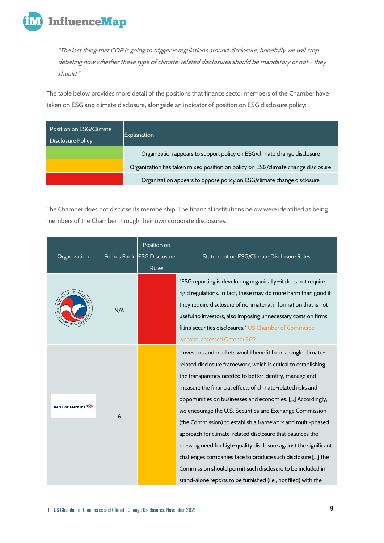

"The last thing that COP is going to trigger is regulations around disclosure, hopefully we will stop debating now whether these type of climate-related disclosures should be mandatory or not - they should."

The table below provides more detail of the positions that finance sector members of the Chamber have taken on ESG and climate disclosure, alongside an indicator of position on ESG disclosure policy:

| Position on ESG/Climate<br><b>Disclosure Policy</b> | Explanation                                                                      |
|-----------------------------------------------------|----------------------------------------------------------------------------------|
|                                                     | Organization appears to support policy on ESG/climate change disclosure          |
|                                                     | Organization has taken mixed position on policy on ESG/climate change disclosure |
|                                                     | Organization appears to oppose policy on ESG/climate change disclosure           |

The Chamber does not disclose its membership. The financial institutions below were identified as being members of the Chamber through their own corporate disclosures.

| Organization           |     | Position on<br>Forbes Rank ESG Disclosure<br><b>Rules</b> | Statement on ESG/Climate Disclosure Rules                                                                                                                                                                                                                                                                                                                                                                                                                                                                                                                                                                                                                                                                                                                                       |
|------------------------|-----|-----------------------------------------------------------|---------------------------------------------------------------------------------------------------------------------------------------------------------------------------------------------------------------------------------------------------------------------------------------------------------------------------------------------------------------------------------------------------------------------------------------------------------------------------------------------------------------------------------------------------------------------------------------------------------------------------------------------------------------------------------------------------------------------------------------------------------------------------------|
| STRIT OF ENTER         | N/A |                                                           | "ESG reporting is developing organically-it does not require<br>rigid regulations. In fact, these may do more harm than good if<br>they require disclosure of nonmaterial information that is not<br>useful to investors, also imposing unnecessary costs on firms<br>filing securities disclosures." US Chamber of Commerce<br>website, accessed October 2021                                                                                                                                                                                                                                                                                                                                                                                                                  |
| <b>BANK OF AMERICA</b> | 6   |                                                           | "Investors and markets would benefit from a single climate-<br>related disclosure framework, which is critical to establishing<br>the transparency needed to better identify, manage and<br>measure the financial effects of climate-related risks and<br>opportunities on businesses and economies. [] Accordingly,<br>we encourage the U.S. Securities and Exchange Commission<br>(the Commission) to establish a framework and multi-phased<br>approach for climate-related disclosure that balances the<br>pressing need for high-quality disclosure against the significant<br>challenges companies face to produce such disclosure [] the<br>Commission should permit such disclosure to be included in<br>stand-alone reports to be furnished (i.e., not filed) with the |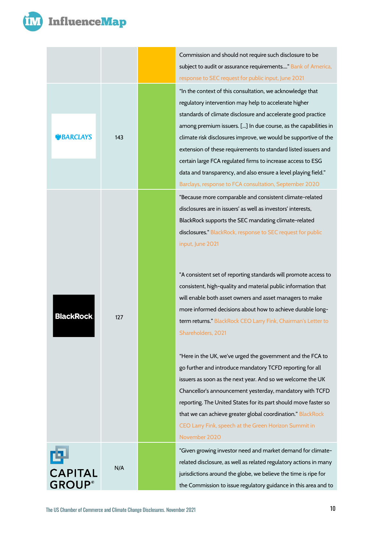

| <b>BARCLAYS</b>                      | 143 |  |
|--------------------------------------|-----|--|
| <b>BlackRock</b>                     | 127 |  |
| 回<br><b>CAPITAL</b><br><b>GROUP®</b> | N/A |  |

Commission and should not require such disclosure to be subject to audit or assurance requirements...." Bank of America, [response to SEC request for public input, June 2021](http://influencemap.org/evidence/ef85dca3b26a318346d50a92430d6408) "In the context of this consultation, we acknowledge that regulatory intervention may help to accelerate higher standards of climate disclosure and accelerate good practice among premium issuers. [...] In due course, as the capabilities in climate risk disclosures improve, we would be supportive of the extension of these requirements to standard listed issuers and certain large FCA regulated firms to increase access to ESG data and transparency, and also ensure a level playing field." [Barclays, response to FCA consultation, September 2020](http://influencemap.org/evidence/51caa85a583c5176416bc8cb481126db) "Because more comparable and consistent climate-related disclosures are in issuers' as well as investors' interests, BlackRock supports the SEC mandating climate-related disclosures.[" BlackRock, response to SEC request for public](http://influencemap.org/evidence/8613aaa1ab94afc6e689f0f0cafe3efd)  [input, June 2021](http://influencemap.org/evidence/8613aaa1ab94afc6e689f0f0cafe3efd)

"A consistent set of reporting standards will promote access to consistent, high-quality and material public information that will enable both asset owners and asset managers to make more informed decisions about how to achieve durable longterm returns.[" BlackRock CEO Larry Fink, Chairman's Letter to](http://influencemap.org/evidence/173d58fdcc114940f33f10283eb94944)  [Shareholders, 2021](http://influencemap.org/evidence/173d58fdcc114940f33f10283eb94944)

"Here in the UK, we've urged the government and the FCA to go further and introduce mandatory TCFD reporting for all issuers as soon as the next year. And so we welcome the UK Chancellor's announcement yesterday, mandatory with TCFD reporting. The United States for its part should move faster so that we can achieve greater global coordination." [BlackRock](http://influencemap.org/evidence/-ae91b84da01da170377c117873a34fd1)  [CEO Larry Fink, speech at the Green Horizon Summit in](http://influencemap.org/evidence/-ae91b84da01da170377c117873a34fd1)  [November 2020](http://influencemap.org/evidence/-ae91b84da01da170377c117873a34fd1)

"Given growing investor need and market demand for climaterelated disclosure, as well as related regulatory actions in many jurisdictions around the globe, we believe the time is ripe for the Commission to issue regulatory guidance in this area and to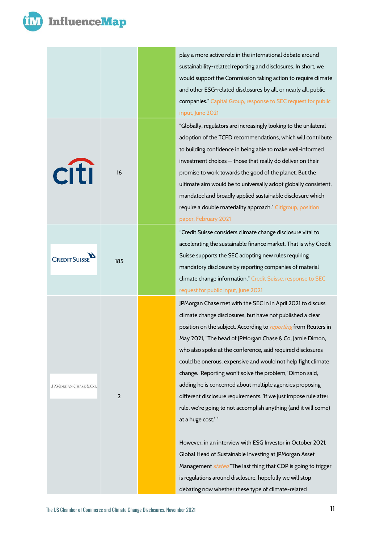

### **InfluenceMap**



play a more active role in the international debate around sustainability-related reporting and disclosures. In short, we would support the Commission taking action to require climate and other ESG-related disclosures by all, or nearly all, public companies.[" Capital Group, response to SEC request for public](http://influencemap.org/evidence/c934aea2f046554e9dd399e4cd27b230)  [input, June 2021](http://influencemap.org/evidence/c934aea2f046554e9dd399e4cd27b230)

"Globally, regulators are increasingly looking to the unilateral adoption of the TCFD recommendations, which will contribute to building confidence in being able to make well-informed investment choices — those that really do deliver on their promise to work towards the good of the planet. But the ultimate aim would be to universally adopt globally consistent, mandated and broadly applied sustainable disclosure which require a double materiality approach.[" Citigroup, position](http://influencemap.org/evidence/1c0784222ac118c463182531ac08c208)  [paper, February 2021](http://influencemap.org/evidence/1c0784222ac118c463182531ac08c208)

"Credit Suisse considers climate change disclosure vital to accelerating the sustainable finance market. That is why Credit Suisse supports the SEC adopting new rules requiring mandatory disclosure by reporting companies of material climate change information." [Credit Suisse, response to SEC](http://influencemap.org/evidence/c1c610615938c54ba245f3afe0be2f16)  [request for public input, June 2021](http://influencemap.org/evidence/c1c610615938c54ba245f3afe0be2f16)

JPMorgan Chase met with the SEC in in April 2021 to discuss climate change disclosures, but have not published a clear position on the subject. According to [reporting](https://www.reuters.com/article/us-climate-change-investors-idCAKBN2CN21X) from Reuters in May 2021, "The head of JPMorgan Chase & Co, Jamie Dimon, who also spoke at the conference, said required disclosures could be onerous, expensive and would not help fight climate change. 'Reporting won't solve the problem,' Dimon said, adding he is concerned about multiple agencies proposing different disclosure requirements. 'If we just impose rule after rule, we're going to not accomplish anything (and it will come) at a huge cost.' "

However, in an interview with ESG Investor in October 2021, Global Head of Sustainable Investing at JPMorgan Asset Management *[stated](http://influencemap.org/evidence/a9e1aad9860121b97e93689ba4c99917)* "The last thing that COP is going to trigger is regulations around disclosure, hopefully we will stop debating now whether these type of climate-related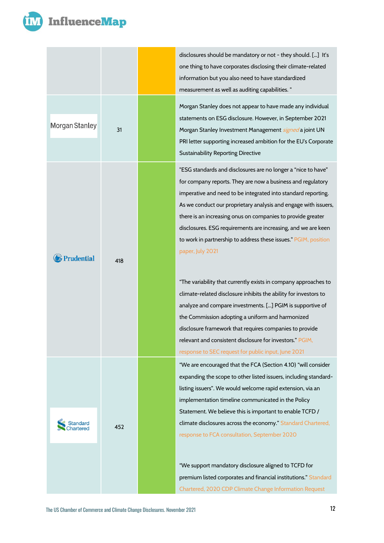

|                       |     | $\mathsf{d}$<br>$\circ$<br>ir                                     |
|-----------------------|-----|-------------------------------------------------------------------|
| Morgan Stanley        | 31  | $\mathsf{r}$<br>$\mathsf{r}$<br>$\mathsf{s}$<br>$\mathsf{r}$<br>P |
|                       |     | $\mathsf{S}$<br>"l<br>f<br>ir                                     |
|                       |     | A<br>t<br>$\mathsf{d}$<br>t<br>p                                  |
| <b>B</b> Prudential   | 418 | $\mu$<br>$\mathsf{C}$                                             |
|                       |     | a<br>t <sub>l</sub><br>$\mathsf{d}$<br>r<br>r                     |
|                       |     | $\mathbf{u}$<br>$\epsilon$<br>li<br>ir                            |
| Standard<br>Chartered | 452 | S<br>$\mathsf{C}$<br>r                                            |
|                       |     | $\mathbf{a}$<br>p<br>$\overline{C}$                               |

isclosures should be mandatory or not - they should. [...] It's ne thing to have corporates disclosing their climate-related iformation but you also need to have standardized measurement as well as auditing capabilities. "

Morgan Stanley does not appear to have made any individual tatements on ESG disclosure. However, in September 2021 1organ Stanley Investment Management *[signed](http://influencemap.org/evidence/97c3c69b04b01ba4840374b1cb4f4e40)* a joint UN PRI letter supporting increased ambition for the EU's Corporate ustainability Reporting Directive

ESG standards and disclosures are no longer a "nice to have" or company reports. They are now a business and regulatory mperative and need to be integrated into standard reporting. s we conduct our proprietary analysis and engage with issuers, here is an increasing onus on companies to provide greater isclosures. ESG requirements are increasing, and we are keen o work in partnership to address these issues." PGIM, position aper, July 2021

The variability that currently exists in company approaches to limate-related disclosure inhibits the ability for investors to analyze and compare investments. [...] PGIM is supportive of ne Commission adopting a uniform and harmonized isclosure framework that requires companies to provide elevant and consistent disclosure for investors." PGIM, esponse to SEC request for public input, June 2021

We are encouraged that the FCA (Section 4.10) "will consider expanding the scope to other listed issuers, including standardsting issuers". We would welcome rapid extension, via an mplementation timeline communicated in the Policy tatement. We believe this is important to enable TCFD / limate disclosures across the economy." Standard Chartered, [response to FCA consultation, September 2020](http://influencemap.org/evidence/7aa089aa364b1a8c57f9a3f575019750)

We support mandatory disclosure aligned to TCFD for remium listed corporates and financial institutions." Standard hartered, 2020 CDP Climate Change Information Request